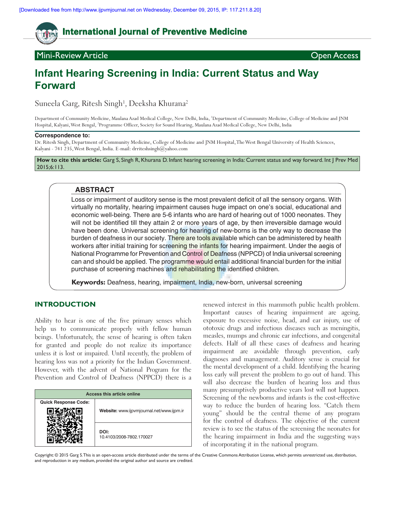# **International Journal of Preventive Medicine**

# Mini-Review Article Open Access

# **Infant Hearing Screening in India: Current Status and Way Forward**

Suneela Garg, Ritesh Singh<sup>1</sup>, Deeksha Khurana<sup>2</sup>

Department of Community Medicine, Maulana Azad Medical College, New Delhi, India, 1 Department of Community Medicine, College of Medicine and JNM Hospital, Kalyani, West Bengal, 2 Programme Officer, Society for Sound Hearing, Maulana Azad Medical College, New Delhi, India

### **Correspondence to:**

Dr. Ritesh Singh, Department of Community Medicine, College of Medicine and JNM Hospital, The West Bengal University of Health Sciences, Kalyani - 741 235, West Bengal, India. E-mail: drriteshsingh@yahoo.com

**How to cite this article:** Garg S, Singh R, Khurana D. Infant hearing screening in India: Current status and way forward. Int J Prev Med 2015;6:113.

# **ABSTRACT**

Loss or impairment of auditory sense is the most prevalent deficit of all the sensory organs. With virtually no mortality, hearing impairment causes huge impact on one's social, educational and economic well-being. There are 5-6 infants who are hard of hearing out of 1000 neonates. They will not be identified till they attain 2 or more years of age, by then irreversible damage would have been done. Universal screening for hearing of new-borns is the only way to decrease the burden of deafness in our society. There are tools available which can be administered by health workers after initial training for screening the infants for hearing impairment. Under the aegis of National Programme for Prevention and Control of Deafness (NPPCD) of India universal screening can and should be applied. The programme would entail additional financial burden for the initial purchase of screening machines and rehabilitating the identified children.

**Keywords:** Deafness, hearing, impairment, India, new-born, universal screening

# **INTRODUCTION**

Ability to hear is one of the five primary senses which help us to communicate properly with fellow human beings. Unfortunately, the sense of hearing is often taken for granted and people do not realize its importance unless it is lost or impaired. Until recently, the problem of hearing loss was not a priority for the Indian Government. However, with the advent of National Program for the Prevention and Control of Deafness (NPPCD) there is a

| Access this article online  |                                           |
|-----------------------------|-------------------------------------------|
| <b>Quick Response Code:</b> |                                           |
|                             | Website: www.ijpvmjournal.net/www.ijpm.ir |
|                             | DOI:<br>10.4103/2008-7802.170027          |

renewed interest in this mammoth public health problem. Important causes of hearing impairment are ageing, exposure to excessive noise, head, and ear injury, use of ototoxic drugs and infectious diseases such as meningitis, measles, mumps and chronic ear infections, and congenital defects. Half of all these cases of deafness and hearing impairment are avoidable through prevention, early diagnoses and management. Auditory sense is crucial for the mental development of a child. Identifying the hearing loss early will prevent the problem to go out of hand. This will also decrease the burden of hearing loss and thus many presumptively productive years lost will not happen. Screening of the newborns and infants is the cost-effective way to reduce the burden of hearing loss. "Catch them young" should be the central theme of any program for the control of deafness. The objective of the current review is to see the status of the screening the neonates for the hearing impairment in India and the suggesting ways of incorporating it in the national program.

Copyright: © 2015 Garg S. This is an open‑access article distributed under the terms of the Creative Commons Attribution License, which permits unrestricted use, distribution, and reproduction in any medium, provided the original author and source are credited.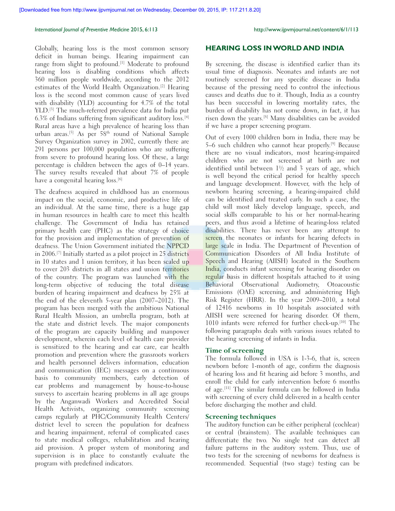#### *International Journal of Preventive Medicine* 2015, 6:113 http://www.ijpvmjournal.net/content/6/1/113

Globally, hearing loss is the most common sensory deficit in human beings. Hearing impairment can range from slight to profound.<sup>[1]</sup> Moderate to profound hearing loss is disabling conditions which affects 360 million people worldwide, according to the 2012 estimates of the World Health Organization.<sup>[2]</sup> Hearing loss is the second most common cause of years lived with disability (YLD) accounting for 4.7% of the total YLD.<sup>[3]</sup> The much-referred prevalence data for India put 6.3% of Indians suffering from significant auditory loss.[4] Rural areas have a high prevalence of hearing loss than urban areas.<sup>[5]</sup> As per 58<sup>th</sup> round of National Sample Survey Organization survey in 2002, currently there are 291 persons per 100,000 population who are suffering from severe to profound hearing loss. Of these, a large percentage is children between the ages of 0–14 years. The survey results revealed that about 7% of people have a congenital hearing loss.<sup>[6]</sup>

The deafness acquired in childhood has an enormous impact on the social, economic, and productive life of an individual. At the same time, there is a huge gap in human resources in health care to meet this health challenge. The Government of India has retained primary health care (PHC) as the strategy of choice for the provision and implementation of prevention of deafness. The Union Government initiated the NPPCD in 2006.[7] Initially started as a pilot project in 25 districts in 10 states and 1 union territory, it has been scaled up to cover 203 districts in all states and union territories of the country. The program was launched with the long-term objective of reducing the total disease burden of hearing impairment and deafness by 25% at the end of the eleventh 5‑year plan (2007–2012). The program has been merged with the ambitious National Rural Health Mission, an umbrella program, both at the state and district levels. The major components of the program are capacity building and manpower development, wherein each level of health care provider is sensitized to the hearing and ear care, ear health promotion and prevention where the grassroots workers and health personnel delivers information, education and communication (IEC) messages on a continuous basis to community members, early detection of ear problems and management by house-to-house surveys to ascertain hearing problems in all age groups by the Anganwadi Workers and Accredited Social Health Activists, organizing community screening camps regularly at PHC/Community Health Centers/ district level to screen the population for deafness and hearing impairment, referral of complicated cases to state medical colleges, rehabilitation and hearing aid provision. A proper system of monitoring and supervision is in place to constantly evaluate the program with predefined indicators.

## **HEARING LOSS IN WORLD AND INDIA**

By screening, the disease is identified earlier than its usual time of diagnosis. Neonates and infants are not routinely screened for any specific disease in India because of the pressing need to control the infectious causes and deaths due to it. Though, India as a country has been successful in lowering mortality rates, the burden of disability has not come down, in fact, it has risen down the years.[8] Many disabilities can be avoided if we have a proper screening program.

Out of every 1000 children born in India, there may be 5–6 such children who cannot hear properly.[9] Because there are no visual indicators, most hearing‑impaired children who are not screened at birth are not identified until between  $1\frac{1}{2}$  and 3 years of age, which is well beyond the critical period for healthy speech and language development. However, with the help of newborn hearing screening, a hearing‑impaired child can be identified and treated early. In such a case, the child will most likely develop language, speech, and social skills comparable to his or her normal-hearing peers, and thus avoid a lifetime of hearing-loss related disabilities. There has never been any attempt to screen the neonates or infants for hearing defects in large scale in India. The Department of Prevention of Communication Disorders of All India Institute of Speech and Hearing (AIISH) located in the Southern India, conducts infant screening for hearing disorder on regular basis in different hospitals attached to it using Behavioral Observational Audiometry, Otoacoustic Emissions (OAE) screening, and administering High Risk Register (HRR). In the year 2009–2010, a total of 12416 newborns in 10 hospitals associated with AIISH were screened for hearing disorder. Of them, 1010 infants were referred for further check-up.<sup>[10]</sup> The following paragraphs deals with various issues related to the hearing screening of infants in India.

# **Time of screening**

The formula followed in USA is 1-3-6, that is, screen newborn before 1‑month of age, confirm the diagnosis of hearing loss and fit hearing aid before 3 months, and enroll the child for early intervention before 6 months of age.[11] The similar formula can be followed in India with screening of every child delivered in a health center before discharging the mother and child.

# **Screening techniques**

The auditory function can be either peripheral (cochlear) or central (brainstem). The available techniques can differentiate the two. No single test can detect all failure patterns in the auditory system. Thus, use of two tests for the screening of newborns for deafness is recommended. Sequential (two stage) testing can be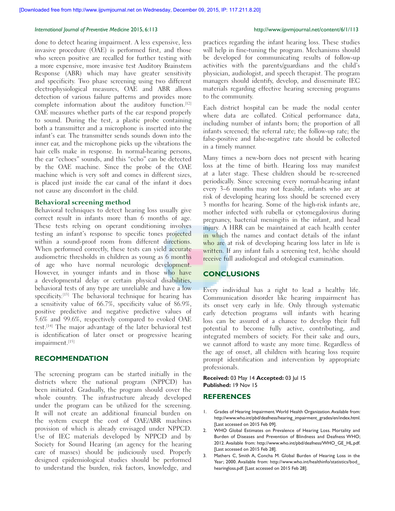### *International Journal of Preventive Medicine* 2015, 6:113 http://www.ijpvmjournal.net/content/6/1/113

done to detect hearing impairment. A less expensive, less invasive procedure (OAE) is performed first, and those who screen positive are recalled for further testing with a more expensive, more invasive test Auditory Brainstem Response (ABR) which may have greater sensitivity and specificity. Two phase screening using two different electrophysiological measures, OAE and ABR allows detection of various failure patterns and provides more complete information about the auditory function.[12] OAE measures whether parts of the ear respond properly to sound. During the test, a plastic probe containing both a transmitter and a microphone is inserted into the infant's ear. The transmitter sends sounds down into the inner ear, and the microphone picks up the vibrations the hair cells make in response. In normal-hearing persons, the ear "echoes" sounds, and this "echo" can be detected by the OAE machine. Since the probe of the OAE machine which is very soft and comes in different sizes, is placed just inside the ear canal of the infant it does not cause any discomfort in the child.

# **Behavioral screening method**

Behavioral techniques to detect hearing loss usually give correct result in infants more than 6 months of age. These tests relying on operant conditioning involves testing an infant's response to specific tones projected within a sound-proof room from different directions. When performed correctly, these tests can yield accurate audiometric thresholds in children as young as 6 months of age who have normal neurologic development. However, in younger infants and in those who have a developmental delay or certain physical disabilities, behavioral tests of any type are unreliable and have a low specificity.<sup>[13]</sup> The behavioral technique for hearing has a sensitivity value of 66.7%, specificity value of 86.9%, positive predictive and negative predictive values of 5.6% and 99.6%, respectively compared to evoked OAE test.[14] The major advantage of the later behavioral test is identification of later onset or progressive hearing impairment.[15]

# **RECOMMENDATION**

The screening program can be started initially in the districts where the national program (NPPCD) has been initiated. Gradually, the program should cover the whole country. The infrastructure already developed under the program can be utilized for the screening. It will not create an additional financial burden on the system except the cost of OAE/ABR machines provision of which is already envisaged under NPPCD. Use of IEC materials developed by NPPCD and by Society for Sound Hearing (an agency for the hearing care of masses) should be judiciously used. Properly designed epidemiological studies should be performed to understand the burden, risk factors, knowledge, and

practices regarding the infant hearing loss. These studies will help in fine-tuning the program. Mechanisms should be developed for communicating results of follow-up activities with the parents/guardians and the child's physician, audiologist, and speech therapist. The program managers should identify, develop, and disseminate IEC materials regarding effective hearing screening programs to the community.

Each district hospital can be made the nodal center where data are collated. Critical performance data, including number of infants born; the proportion of all infants screened; the referral rate; the follow‑up rate; the false‑positive and false‑negative rate should be collected in a timely manner.

Many times a new-born does not present with hearing loss at the time of birth. Hearing loss may manifest at a later stage. These children should be re‑screened periodically. Since screening every normal-hearing infant every 3–6 months may not feasible, infants who are at risk of developing hearing loss should be screened every 3 months for hearing. Some of the high-risk infants are, mother infected with rubella or cytomegalovirus during pregnancy, bacterial meningitis in the infant, and head injury. A HRR can be maintained at each health center in which the names and contact details of the infant who are at risk of developing hearing loss later in life is written. If any infant fails a screening test, he/she should receive full audiological and otological examination.

# **CONCLUSIONS**

Every individual has a right to lead a healthy life. Communication disorder like hearing impairment has its onset very early in life. Only through systematic early detection programs will infants with hearing loss can be assured of a chance to develop their full potential to become fully active, contributing, and integrated members of society. For their sake and ours, we cannot afford to waste any more time. Regardless of the age of onset, all children with hearing loss require prompt identification and intervention by appropriate professionals.

### **Received:** 03 May 14 **Accepted:** 03 Jul 15 **Published:** 19 Nov 15

# **REFERENCES**

- 1. Grades of Hearing Impairment. World Health Organization. Available from: http://www.who.int/pbd/deafness/hearing\_impairment\_grades/en/index.html. [Last accessed on 2015 Feb 09].
- 2. WHO Global Estimates on Prevalence of Hearing Loss. Mortality and Burden of Diseases and Prevention of Blindness and Deafness WHO; 2012. Available from: http://www.who.int/pbd/deafness/WHO\_GE\_HL.pdf. [Last accessed on 2015 Feb 28].
- 3. Mathers C, Smith A, Concha M. Global Burden of Hearing Loss in the Year; 2000. Available from: http://www.who.int/healthinfo/statistics/bod\_ hearingloss.pdf. [Last accessed on 2015 Feb 28].